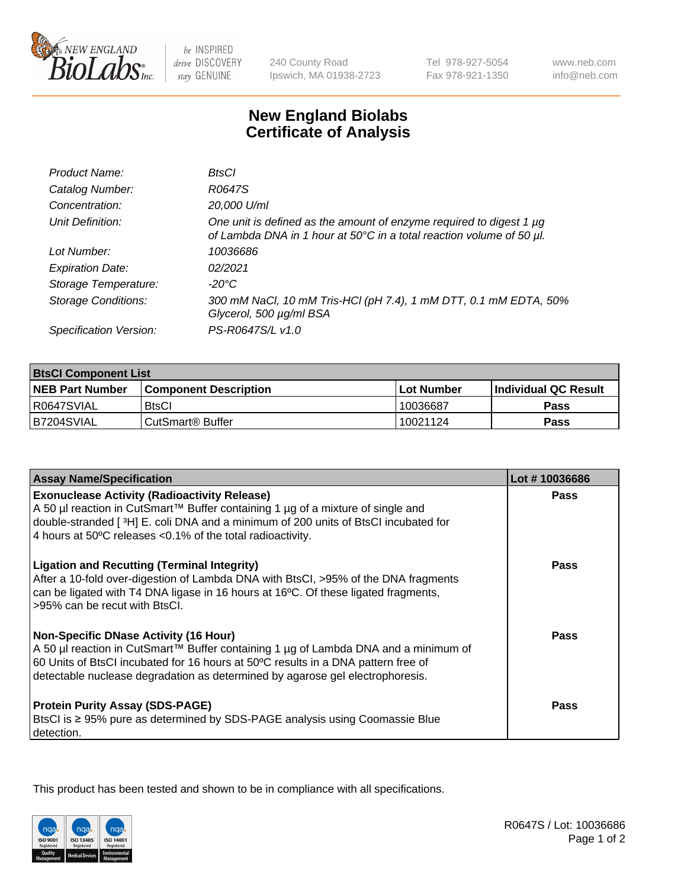

 $be$  INSPIRED drive DISCOVERY stay GENUINE

240 County Road Ipswich, MA 01938-2723 Tel 978-927-5054 Fax 978-921-1350

www.neb.com info@neb.com

## **New England Biolabs Certificate of Analysis**

| Product Name:              | BtsCl                                                                                                                                       |
|----------------------------|---------------------------------------------------------------------------------------------------------------------------------------------|
| Catalog Number:            | R0647S                                                                                                                                      |
| Concentration:             | 20,000 U/ml                                                                                                                                 |
| Unit Definition:           | One unit is defined as the amount of enzyme required to digest 1 µg<br>of Lambda DNA in 1 hour at 50°C in a total reaction volume of 50 µl. |
| Lot Number:                | 10036686                                                                                                                                    |
| <b>Expiration Date:</b>    | 02/2021                                                                                                                                     |
| Storage Temperature:       | -20°C                                                                                                                                       |
| <b>Storage Conditions:</b> | 300 mM NaCl, 10 mM Tris-HCl (pH 7.4), 1 mM DTT, 0.1 mM EDTA, 50%<br>Glycerol, 500 µg/ml BSA                                                 |
| Specification Version:     | PS-R0647S/L v1.0                                                                                                                            |

| <b>BisCI Component List</b> |                              |                   |                      |  |
|-----------------------------|------------------------------|-------------------|----------------------|--|
| <b>NEB Part Number</b>      | <b>Component Description</b> | <b>Lot Number</b> | Individual QC Result |  |
| R0647SVIAL                  | <b>BtsCl</b>                 | 10036687          | <b>Pass</b>          |  |
| B7204SVIAL                  | CutSmart® Buffer             | 10021124          | Pass                 |  |

| <b>Assay Name/Specification</b>                                                                                                                                                                                                                                                                           | Lot #10036686 |
|-----------------------------------------------------------------------------------------------------------------------------------------------------------------------------------------------------------------------------------------------------------------------------------------------------------|---------------|
| <b>Exonuclease Activity (Radioactivity Release)</b><br>A 50 µl reaction in CutSmart™ Buffer containing 1 µg of a mixture of single and                                                                                                                                                                    | <b>Pass</b>   |
| double-stranded [3H] E. coli DNA and a minimum of 200 units of BtsCl incubated for<br>4 hours at 50°C releases <0.1% of the total radioactivity.                                                                                                                                                          |               |
| <b>Ligation and Recutting (Terminal Integrity)</b><br>After a 10-fold over-digestion of Lambda DNA with BtsCl, >95% of the DNA fragments<br>can be ligated with T4 DNA ligase in 16 hours at 16°C. Of these ligated fragments,<br>>95% can be recut with BtsCl.                                           | Pass          |
| <b>Non-Specific DNase Activity (16 Hour)</b><br>A 50 µl reaction in CutSmart™ Buffer containing 1 µg of Lambda DNA and a minimum of<br>60 Units of BtsCl incubated for 16 hours at 50°C results in a DNA pattern free of<br>detectable nuclease degradation as determined by agarose gel electrophoresis. | <b>Pass</b>   |
| <b>Protein Purity Assay (SDS-PAGE)</b><br>BtsCl is ≥ 95% pure as determined by SDS-PAGE analysis using Coomassie Blue<br>detection.                                                                                                                                                                       | Pass          |

This product has been tested and shown to be in compliance with all specifications.